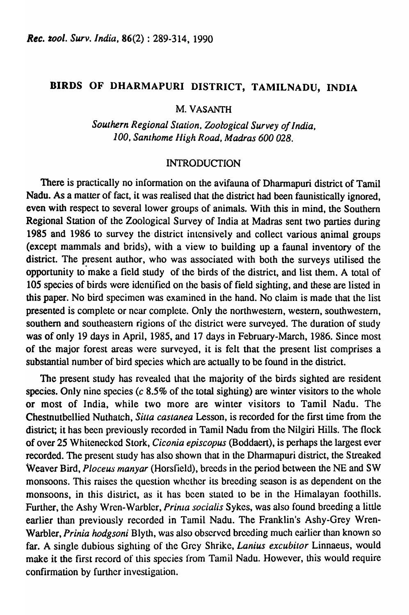#### BIRDS OF DHARMAPURI DISTRICT, TAMILNADU, INDIA

M. VASANTH

*Southern Regional Slation. Zoological Survey of India, 100, Sanlhome Iligh Road, Madras 600 028.* 

#### **INTRODUCTION**

There is practically no information on the avifauna of Dharmapuri district of Tamil Nadu. As a matter of fact, it was realised that the district had been faunistically ignored, even with respect to several lower groups of animals. With this in mind, the Southern Regional Station of the Zoological Survey of India at Madras sent two parties during 1985 and 1986 to survey the- district intensively and collect various animal groups (except mammals and brids), with a view to building up a faunal inventory of the district. The present author, who was associated with both the surveys utilised the opportunity to make a field study of the birds of the district, and list them. A total of 105 species of birds were identified on the basis of field sighting, and these are listed in this paper. No bird specimen was examined in the hand. No claim is made that the list presented is complete or ncar complete. Only the northwestern, western, southwestern, southern and southeastern rigions of the district were surveyed. The duration of study was of only 19 days in April, 1985, and 17 days in February-March, 1986. Since most of the major forest areas were surveyed, it is felt that the present list comprises a substantial number of bird species which are actually to be found in the district.

The present study has revealed that the majority of the birds sighted are resident species. Only nine species ( $c$  8.5% of the total sighting) are winter visitors to the whole or most of India, while two more are winter visitors to Tamil Nadu. The Chestnutbellied Nuthatch, *Siua castanea* Lesson, is recorded for the first time from the district; it has been previously recorded in Tamil Nadu from the Nilgiri Hills. The flock of over 25 Whitenecked Slork, *Ciconia episcopus* (Boddaert), is perhaps the largest ever recorded. The present study has also shown that in the Dharmapuri district, the Streaked Weaver Bird, *Ploceus manyar* (Horsfield), breeds in the period between the NE and SW monsoons. This raises the question whether its breeding season is as dependent on the monsoons, in this district, as it has been stated to be in the Himalayan foothills. Further, the Ashy Wren-Warbler, *Prinla socialis* Sykes, was also found breeding a little earlier than previously recorded in Tamil Nadu. The Franklin's Ashy-Grey Wren-Warbler, *Prinia hodgsoni* Blyth, was also observed brccding much earlier than known so far. A single dubious sighting of the Grey Shrike, *Lanius excubilor* Linnaeus, would make it the first record of this species from Tamil Nadu. However, this would require confirmation by further investigation.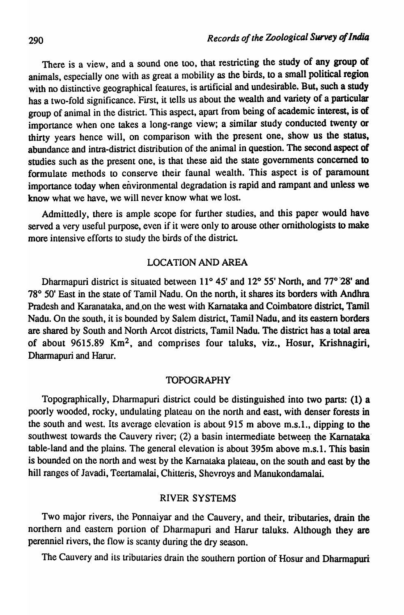There is a view, and a sound one too, that restricting the study of any group of animals, especially one with as great a mobility as the birds, to a small political region with no distinctive geographical features, is artificial and undesirable. But, such a study has a two-fold significance. First, it tells us about the wealth and variety of a particular group of animal in the district. This aspect, apart from being of academic interest, is of importance when one takes a long-range view; a similar study conducted twenty or thirty years hence will, on comparison with the present one, show us the status. abundance and intra-district distribution of the animal in question. The second aspect of studies such as the present one, is that these aid the state governments concerned to formulate methods to conserve their faunal wealth. This aspect is of paramount importance today when environmental degradation is rapid and rampant and unless we know what we have, we will never know what we lost.

Admittedly, there is ample scope for further studies, and this paper would have served a very useful purpose, even if it were only to arouse other ornithologists to make more intensive efforts to study the birds of the district.

#### LOCATION AND AREA

Dharmapuri district is situated between 11° 45' and 12° 55' North, and 77° <sup>28'</sup> and 78° 50' East in the state of Tamil Nadu. On the north, it shares its borders with Andhra Pradesh and Karanataka, and,on the west with Karnataka and Coimbatore district, Tamil Nadu. On the south, it is bounded by Salem district, Tamil Nadu, and its eastern borders are shared by South and North Arcot districts, Tamil Nadu. The district has a total area of about 9615.89 Km2, and comprises four taluks, viz., Hosur, Krishnagiri, Dharmapuri and Harur.

#### TOPOGRAPHY

Topographically, Dharmapuri district could be distinguished into two parts: (1) a poorly wooded, rocky, undulating plateau on the north and east, with denser forests in the south and west. Its average elevation is about 915 m above m.s.l., dipping to the southwest towards the Cauvery river;  $(2)$  a basin intermediate between the Karnataka' table-land and the plains. The general elevation is about 395m above m.s.l. This basin is bounded on the north and west by the Karnataka plateau, on the south and east by the hill ranges of Javadi, Teertamalai, Chitteris, Shevroys and Manukondamalai.

#### RIVER SYSTEMS

Two major rivers, the Ponnaiyar and the Cauvery, and their, tributaries, drain the northern and eastern portion of Dharmapuri and Harur taluks. Although they are perenniel rivers, the flow is scanty during the dry season.

The Cauvery and its tributaries drain the southern portion of Hosur and Dharmapuri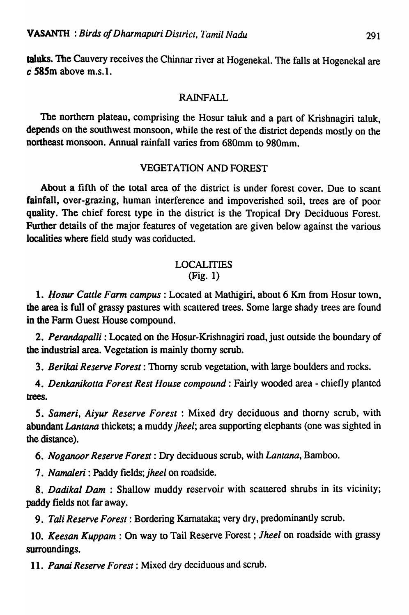taluks. The Cauvery receives the Chinnar river at Hogenekal. The falls at Hogenekal are c· *S8Sm* above m.s.l.

#### RAINFALL

The northern plateau, comprising the Hosur taluk and a part of Krishnagiri taluk, depends on the southwest monsoon, while the rest of the district depends mostly on the northeast monsoon. Annual rainfall varies from 680mm to 980mm.

#### **VEGETATION AND FOREST**

About a fifth of the total area of the district is under forest cover. Due to scant fainfall, over-grazing, human interference and impoverished soil, trees are of poor quality. The chief forest type in the district is the Tropical Dry Deciduous Forest. Further details of the major features of vegetation are given below against the various localities where field study was conducted.

#### LOCALITIES  $(Fig. 1)$

*1. #OSUT Cattle Farm campus:* Located at Mathigiri, about 6 Km from Hosur town, the area is full of grassy pastures with scattered trees. Some large shady trees are found in the Farm Guest House compound.

2. *Perandapalli*: Located on the Hosur-Krishnagiri road, just outside the boundary of the industrial area. Vegetation is mainly thorny scrub.

*3. Berikai Reserve Forest:* Thorny scrub vegetation, with large boulders and rocks.

*4. Denkanikotta Forest Rest House compound:* Fairly wooded area - chiefly planted trees.

*S. Sameri, Aiyur Reserve Forest:* Mixed dry deciduous and thorny scrub, with abundant *Lantana* thickets; a muddy *jheel;* area supporting elephants (one was sighted in the distance).

*6. Noganoor Reserve Forest:* Dry deciduous scrub, with *Lantana,* Bamboo.

7. *Namaleri:* Paddy fields; *jheel* on roadside.

*8. Dadikal Dam:* Shallow muddy reservoir with scattered shrubs in its vicinity; paddy fields not far away.

*9. Tali Reserve Forest:* Bordering Kamataka; very dry, predominantly scrub.

*10. Keesan Kuppam* : On way to Tail Reserve Forest; *Jheel* on roadside with grassy surroundings.

*11. Panai Reserve Forest:* Mixed dry deciduous and scrub.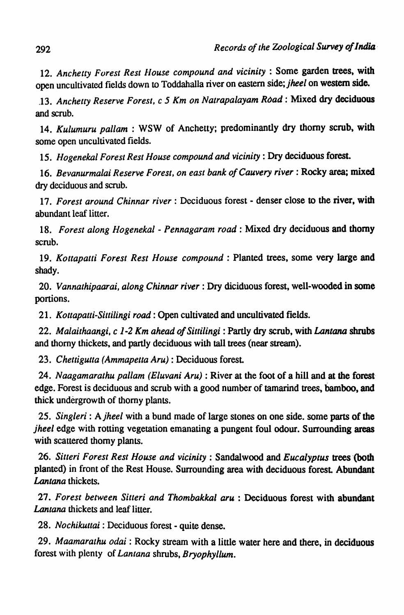12. *Anchetty Forest Rest flouse compound and vicinity:* Some garden trees, with open uncultivated fields down to Toddahalla river on eastern side; *jheel* on western side.

.13. *Anchetty Reserve Forest,* c 5 *Km on Nalrapalayam Road:* Mixed dry deciduous and scrub.

14. *Kulumuru pal/am* : WSW of Anchetty; predominantly dry thorny scrub, with some open uncultivated fields.

15. *Hogenekal Forest Rest House compound and vicinity:* Dry deciduous forest.

16. Bevanurmalai Reserve Forest, on east bank of Cauvery river: Rocky area; mixed dry deciduous and scrub.

17. *Forest around Chinnar river:* Deciduous forest - denser close to the river, with abundant leaf litter.

18. *Forest along Hogenekal* - *Pennagaram road:* Mixed dry deciduous and thorny scrub.

19. *Kottapatti Forest Rest House compound:* Planted trees, some very large and shady.

*20. Vannathipaarai, along Chinnar river:* Dry diciduous forest, well-wooded in some portions.

*21. Kottapatti-Siuilingi road:* Open cultivated and uncultivated fields.

*22. Malaithaangi.* c 1-2 *Km ahead of Sittilingi* : Partly dry scrub, with *Lantana* shrubs and thorny thickets, and partly deciduous with tall trees (near stream).

*23. Chettigutta (Ammapetta Aru):* Deciduous forest

24. *Naagamarathu pallam (Eluvani Aru)* : River at the foot of a hill and at the forest edge. Forest is deciduous and scrub with a good number of tamarind trees, bamboo, and thick undergrowth of thorny plants.

25. *Singleri:* A *jheel* with a bund made of large stones on one side, some parts of the *jheel* edge with rotting vegetation emanating a pungent foul odour. Surrounding areas with scattered thorny plants.

26. *Sitteri Forest Rest House and vicinity:* Sandalwood and *Eucalyptus* trees '(both planted) in front of the Rest House. Surrounding area with deciduous forest. Abundant *Lantana* thickets.

27. Forest between Sitteri and Thombakkal aru : Deciduous forest with abundant *Lantana* thickets and leaf litter.

28. *Nochikuttai:* Deciduous forest - quite dense.

*29. Maamaralhu odai* : Rocky stream with a little water here and there, in deciduous forest with plenty of *Lantana* shrubs, *Bryophyllum.*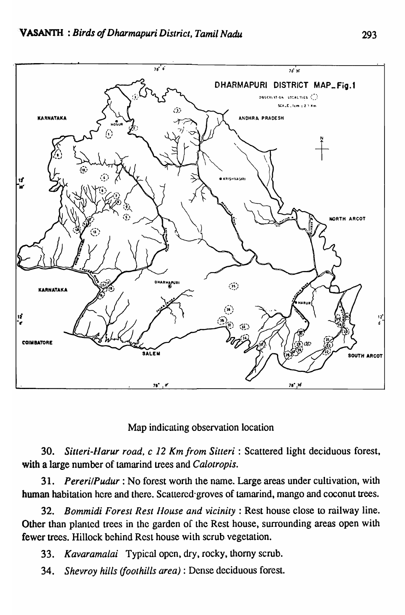

#### Map indicating observation location

*30. Silteri-IJarur road, c* 12 *Km from Silleri* : Scattered light deciduous forest, with a large number of tamarind trees and *Calotropis.* 

31. *PererilPudur:* No forest worth the name. Large areas under cultivation, with human habitation here and there. Scattered·groves of tamarind, mango and coconut trees.

*32. Bommidi Forest Rest /louse and vicinity:* Rest house close to railway line. Other than planted trees in the garden of the Rest house, surrounding areas open with fewer trees. Hillock behind Rest house with scrub vegetation.

*33. Kavaramalai* Typical open, dry, rocky, thorny scrub.

*34. Shevroy hills (foothills area)* : Dense deciduous forest.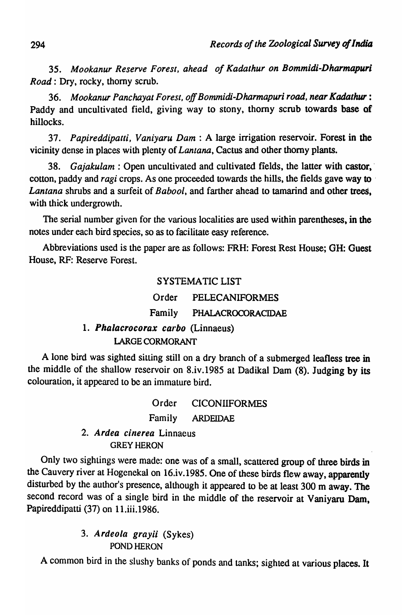*35. Mookanur Reserve Forest, ahead of Kadathur on Bommidi-Dharmapuri Road:* Dry, rocky, thorny scrub.

*36. Mookanur Panchayat Forest, off Bommidi-Dharmapuri road, near Kadathur :*  Paddy and uncultivated field, giving way to stony, thorny scrub towards base of hillocks.

*37. Papireddipatti, Vaniyaru Dam:* A large irrigation reservoir. Forest in the vicinity dense in places with plenty of *Lantana,* Cactus and other thorny plants.

38. *Gajakulam:* Open uncultivated and cultivated fields, the latter with castor, cotton, paddy and *ragi* crops. As one proceeded towards the hills, the fields gave way to ' *Lantana* shrubs and a surfeit of *Babool,* and farther ahead to tamarind and other trees. with thick undergrowth.

The serial number given for the various localities are used within parentheses, in the notes under each bird species, so as to facilitate easy reference.

Abbreviations used is the paper are as follows: FRH: Forest Rest House; GH: Guest House, RF: Reserve Forest.

#### SYSTEMA TIC LIST

| Order<br><b>PELECANIFORMES</b> |  |
|--------------------------------|--|
|--------------------------------|--|

Family PHALACROCORACIDAE

### 1. Phalacrocorax carbo (Linnaeus) LARGE CORMORANT

A lone bird was sighted silting still on a dry branch of a submerged leafless tree in the middle of the shallow reservoir on 8.iv.1985 at Dadikal Dam (8). Judging by its colouration, it appeared to be an immature bird.

> Order CICONIIFORMES Family ARDEIDAE

#### 2. Ardea cinerea Linnaeus GREY HERON

Only two sightings were made: one was of a small, scattered group of three birds in the Cauvery river at Hogenekal on 16.iv.1985. One of these birds flew away, apparently disturbed by the author's presence, although it appeared to be at least 300 m away. The second record was of a single bird in the middle of the reservoir at Vaniyaru Dam, Papireddipatti (37) on 11.iii.1986.

#### *3.* Ardeola *grayii* (Sykes) POND HERON

A common bird in the slushy banks of ponds and tanks; sighted at various places. It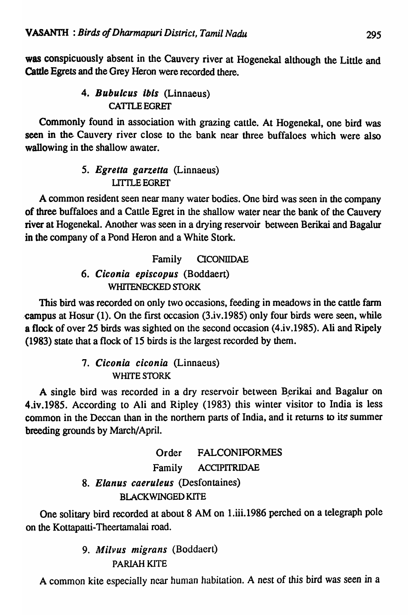was conspicuously absent in the Cauvery river at Hogenekal although the Little and Cattle Egrets and the Grey Heron were recorded there.

# 4. Bubulcus ibis (Linnaeus) CATTLE EGRET

Commonly found in association with grazing cattle. At Hogenekal, one bird was seen in the. Cauvery river close to the bank near three buffaloes which were also wallowing in the shallow awater.

# *5. Egretta garzetta* (Linnaeus) UITLEEGRET

A common resident seen near many water bodies. One bird was seen in the company of three buffaloes and a Cattle Egret in the shallow water near the bank of the Cauvery river at Hogenekal. Another was seen in a drying reservoir between Berikai and Bagalur in the company of a Pond Heron and a White Stork.

# Family CICONIIDAE

## *6. Ciconia episcopus* (Boddaert) WHITENECKED STORK

This bird was recorded on only two occasions, feeding in meadows in the cattle farm campus at Hosur (1). On the first occasion (3.iv.1985) only four birds were seen, while a flock of over 25 birds was sighted on the second occasion (4.iv.I985). Ali and Ripely (1983) state that a flock of 15 birds is the largest recorded by them.

# *7. Ciconia ciconia* (Linnaeus) WHITE STORK

A single bird was recorded in a dry reservoir between Berikai and Bagalur on 4.iv.1985. According to Ali and Ripley (1983) this winter visitor to India is less common in the Deccan than in the northern parts of India, and it returns to its summer breeding grounds by March/April.

# Order FALCONIFORMES Family ACCIPITRIDAE *8. Elanus caeruleus* (Desfontaines) BlACKWINGED KITE

One solitary bird recorded at about 8 AM on I.iii.I986 perched on a telegraph pole on the Kottapatti-Theertamalai road.

> *9. Alilvus migrans* (Boddaeri) PARIAH KITE

A common kite especially near human habitation. A nest of this bird was seen in a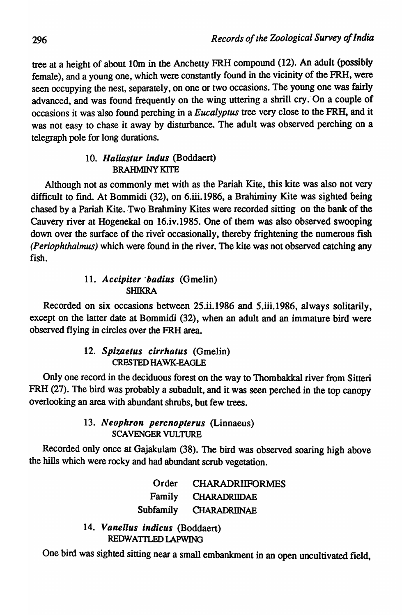tree at a height of about 10m in the Anchetty FRH compound (12). An adult (possibly female), and a young one, which were constantly found in the vicinity of the FRH, were seen occupying the nest, separately, on one or two occasions. The young one was fairly advanced, and was found frequently on the wing uttering a shrill cry. On a couple of occasions it was 'also found perching in a *Eucalyptus* tree very close to the FRH, and it was not easy to chase it away by disturbance. The adult was observed perching on a telegraph pole for long durations.

#### *10. Haliastur indus* (Boddaert) BRAHMINY KITE

Although not as commonly met with as the Pariah Kite, this kite was also not very difficult to find. At Bommidi  $(32)$ , on 6.iii.1986, a Brahiminy Kite was sighted being chased by a Pariah Kite. Two Brahminy Kites were recorded sitting on the bank of the Cauvery river at Hogenekal on 16.iv.1985. One of them was also observed swooping down over the surface of the river occasionally, thereby frightening the numerous fish *(Periophthalmus)* which were found in the river. The kite was not observed catching any fish.

#### 11. *Accipiter' badius* (Gmelin) SHIKRA

Recorded on six occasions between 25.ii.1986 and 5.iii.1986, always solitarily, except on the latter date at Bommidi (32), when an adult and an immature bird were observed flying in circles over the FRH area.

### *12. Spizaetus cirrhatus* (Gmelin) CRESTED HAWK-EAGLE

Only one record in the deciduous forest on the way to Thombakkal river from Sitleri FRH (27). The bird was probably a subadult, and it was seen perched in the top canopy overlooking an area with abundant shrubs, but few trees.

#### *13. Neophron percnopterus* (Linnaeus) SCAVENGER VULTURE

Recorded only once at Gajakulam (38). The bird was observed soaring high above the hills which were rocky and had abundant scrub vegetation.

> Order Family Subfamily **CHARADRIIFORMES CHARADRIIDAE CHARADRIINAE**

*14. Vanellus indicus* (Boddaert) REDWATILED LAPWING

One bird was sighted sitting near a small embankment in an open uncultivated field,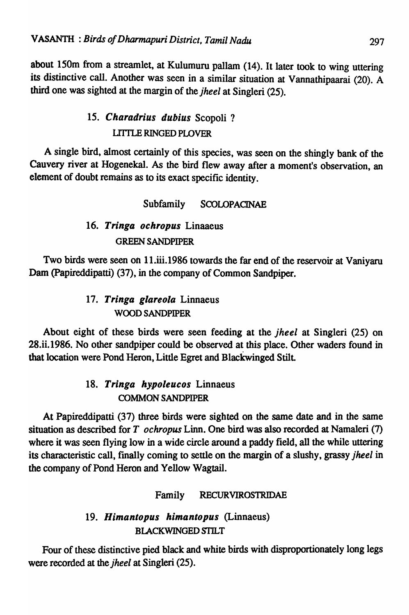about 150m from a streamlet, at Kulumuru pallam (14). It later took to wing uttering its distinctive call. Another was seen in a similar situation at Vannathipaarai (20). A third one was sighted at the margin of the *jheel* at Singleri (25).

# 15. Charadrius dubius Scopoli ? UITLE RINGED PLOVER

A single bird, almost certainly of this species, was seen on the shingly bank of the Cauvery river at Hogenekal. As the bird flew away after a moment's observation, an element of doubt remains as to its exact specific identity.

### Subfamily SCOLOPACINAE

### *16. Tringa ochropus* Linaaeus GREEN SANDPIPER

Two birds were seen on 11.iii.1986 towards the far end of the reservoir at Vaniyaru Dam (Papireddipatti) (37), in the company of Common Sandpiper.

# *17. Tringa glareola* Linnaeus WOOD SANDPIPER

About eight of these birds were seen feeding at the *jheel* at Singleri (25) on 28.ii.1986. No other sandpiper could be observed at this place. Other waders found in that location were Pond Heron, Little Egret and Blackwinged Stilt

# *18. Tringa hypoleucos* Linnaeus COMMON SANDPIPER

At Papireddipatti (37) three birds were sighted on the same date and in the same situation as described for T *ochropus* Linn. One bird was also recorded at Namaleri (7) where it was seen flying low in a wide circle around a paddy field, all the while uttering its characteristic call, fmally coming to settle on the margin of a slushy, grassy *jheel* in the company of Pond Heron and Yellow Wagtail.

## Family RECURVIROSTRIDAE

## *19. Himantopus himantopus* (Linnaeus) BLACKWINGED STILT

Four of these distinctive pied black and white birds with disproportionately long legs were recorded at the *jheel* at Singleri (25).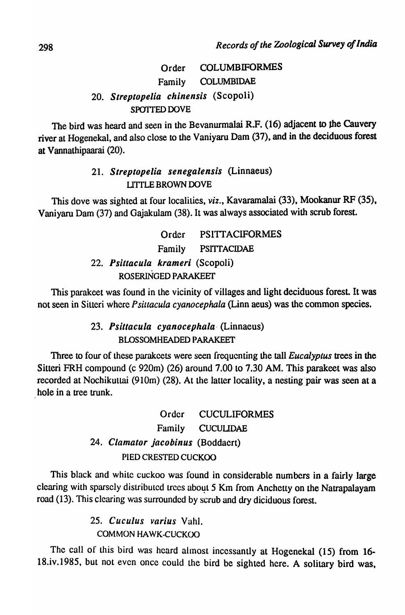# Order COLUMBIFORMES Family COLUMBIDAE *20. Streptopelia chinensis* (Scopoli) SPOTIED DOVE

The bird was heard and seen in the Bevanurmalai R.F. (16) adjacent to the Cauvery river at Hogenekal, and also close to the Vaniyaru Dam (37), and in the deciduous forest at Vannathipaarai (20).

### *21. Streptopelia senegalensis* (Linnaeus) UTILE BROWN DOVE

This dove was sighted at four localilies, *viz.,* Kavaramalai (33), Mookanur RF (35), Vaniyaru Dam (37) and Gajakulam (38). It was always associated with scrub forest.

> Order PSITTACIFORMES Family PSITIACIDAE *22. Psittacula krameri* (Scopoli) ROSERINGED PARAKEET

This parakeet was found in the vicinity of villages and light deciduous forest It was not seen in Silteri where *P sittacula cyanocephala* (Linn aeus) was the common species.

### *23. Psittacula cyanocephala·* (Linnaeus) BLOSSOMHEADED PARAKEET

Three to four of these parakeets were seen frequenting the tall *Eucalyptus* trees in the Sitteri FRH compound (c 920m) (26) around 7.00 10 7.30 AM. This parakeet was also recorded at Nochikuttai (910m) (28). At the latter locality, a nesting pair was seen at a hole in a tree trunk.

> Order CUCULIFORMES Family CUCULIDAE *24. Clamator jacobinus* (Boddaert) PIED CRESTED CUCKOO

This black and white cuckoo was found in considerable numbers in a fairly large clearing with sparsely distributed trees about 5 Km from Anchetty on the Natrapalayam road (13). This clearing was surrounded by scrub and dry diciduous forest.

> *25. Cuculus varius* Yahl. COMMON HAWK-CUCKOO

The call of this bird was heard almost incessantly at Hogenekal (15) from 16-18.iv.1985, but not even once could the bird be sighted here. A solitary bird was,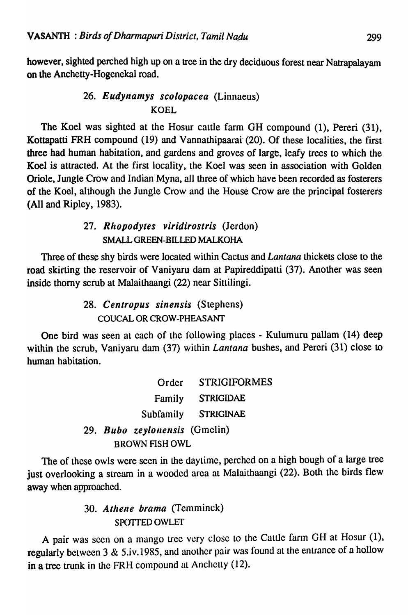however, sighted perched high up on a tree in the dry deciduous forest near Natrapalayam on the Anchetty-Hogenekal road.

### 26. *Eudynamys scolopacea* (Linnaeus) KOEL

The Koel was sighted at the Hosur cattle farm GH compound (1), Pereri (31), Kottapatti FRH compound (19) and Vannathipaarai (20). Of these localities, the first three had human habitation, and gardens and groves of large, leafy trees to which the Koel is attracted. At the first locality, the Koel was seen in association with Golden Oriole, Jungle Crow and Indian Myna, all three of which have been recorded as fosterers· of the Koel, although the Jungle Crow and the House Crow are the principal fosterers (All and Ripley, 1983).

### *27. Rllopodytes viridirostris* (Jerdon) SMALL GREEN-BILLED MALKOHA

Three of these shy birds were located within Cactus and *Lantana* thickets close to the road skirting the reservoir of Vaniyaru dam at Papireddipatti (37). Another was seen inside thorny scrub at Malaithaangi (22) near Sittilingi.

> 28. Centropus sinensis *(Stephens)* COUCAL OR CROW-PHEASANT

One bird was seen at each of the following places - Kulumuru pallam (14) deep within the scrub, Vaniyaru dam (37) within *Lantana* bushes, and Pereri (31) close to human habitation.

|  | Order                         | <b>STRIGIFORMES</b> |
|--|-------------------------------|---------------------|
|  | Family                        | <b>STRIGIDAE</b>    |
|  | Subfamily                     | STRIGINAE           |
|  | 29. Bubo zeylonensis (Gmelin) |                     |
|  | <b>BROWN FISH OWL</b>         |                     |

The of these owls were seen in the daytime, perched on a high bough of a large tree just overlooking a stream in a wooded area at Malaithaangi (22). Both the birds flew away when approached.

# 30. Athene brama (Temminck) SPC)'ffED OWLET

A pair was seen on a mango tree very close to the Cattle farm GH at Hosur (1), regularly between 3 & 5.iv.1985, and another pair was found at the entrance of a hollow in a tree trunk in the FRH compound at Anchetty (12).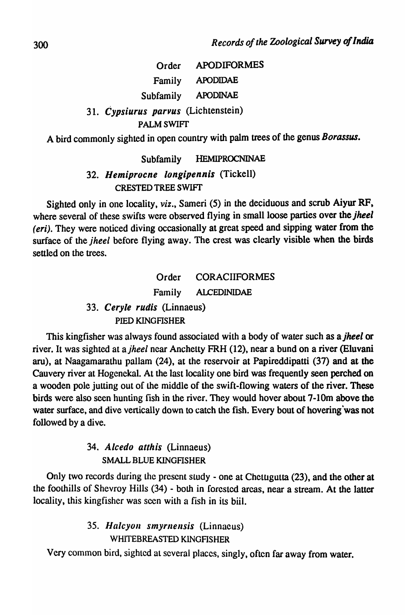#### Order Family Subfamily APODIFORMES APODIDAE APODINAE *31. Cypsiurus parvus* (Lichtenstein) PALMSWIFr

A bird commonly sighted in open country with palm trees of the genus *Borassus.* 

## Subfamily HEMIPROCNINAE *32. Hemiprocne longipennis* (Tickell) CRESTED TREE SWIFf

Sighted only in one locality, *viz.,* Sameri (5) in the deciduous and scrub Aiyur RF, where several of these swifts were observed flying in small loose parties over the *jheel (eri)*. They were noticed diving occasionally at great speed and sipping water from the surface of the *jheel* before flying away. The crest was clearly visible when the birds settled on the trees.

# Order CORACIIFORMES Family ALCEDINIDAE *33. Ceryle rudis* (Linnaeus) PIED KINGFISHER

This kingfisher was always found associated with a body of water such as *ajheel* or river. It was sighted at *ajheel* near Anchetty FRH (12), near a bund on a river (Eluvani aru), at Naagamarathu pallam (24), at the reservoir at Papireddipatti (37) and at the Cauvery river at Hogenekal. At the last locality one bird was frequently seen perched on a wooden pole jutting out of the middle of the swift-flowing waters of the river. These birds were also seen hunting fish in the river. They would hover about 7-10m above the water surface, and dive vertically down to catch the fish. Every bout of hovering was not followed by a dive.

## *34. Alcedo atthis* (Linnaeus) SMALL BLUE KINGFISHER

Only two records during the prescnt study - one at Chetugutta (23), and the other at the foothills of Shevroy Hills (34) - both in forested areas, near a stream. At the latter locality, this kingfisher was seen with a fish in its biil.

## *35. Halcyoll smyrllellsis* (Linnaeus) WHITEBREASTED KINGFISHER

Very common bird, sighted at several places, singly, often far away from water.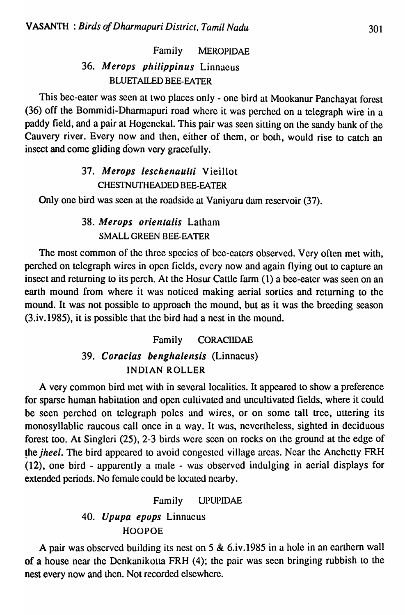# Family MEROPIDAE *36. Merops philippinus* Linnaeus BLUETAILED BEE-EATER

This bee-eater was seen at two places only - one bird at Mookanur Panchayat forest (36) off the Bommidi-Dharmapuri road where it was perched on a telegraph wire in a paddy field, and a pair at Hogenekal. This pair was seen sitting on the sandy bank of the Cauvery river. Every now and then, either of them, or both, would rise to catch an insect and come gliding down very gracefully.

### *37. Merops leschenaulli* Vieillot CHESTNUTHEADED BEE-EATER

Only one bird was seen at the roadside at Vaniyaru dam reservoir (37).

## 38. Merops orientalis Latham SMALL GREEN BEE-EATER

The most common of the three species of bee-eaters observed. Very often met with, perched on telegraph wires in open fields, every now and again flying out to capture an insect and returning to its perch. At the Hosur Cattle farm (1) a bee-eater was seen on an earth mound from where it was noticed making aerial sorties and returning to the mound. It was not possible to approach the mound, but as it was the breeding season (3.iv.1985), it is possible that the bird had a nest in the mound.

# Family CORACIIDAE *39. Coracias benghalensis* (Linnaeus) INDIAN ROLLER

A very common bird met with in several localities. It appeared to show a preference for sparse human habitation and open cultivated and uncultivated fields, where it could be seen perched on telegraph poles and wires, or on some tall tree, uttering its monosyllablic raucous call once in a way. It was, nevertheless, sighted in deciduous forest too. At Singleri (25), 2-3 birds were seen on rocks on the ground at the edge of the *jheel*. The bird appeared to avoid congested village areas. Near the Anchetty FRH  $(12)$ , one bird - apparently a male - was observed indulging in aerial displays for extended periods. No female could be located nearby.

#### Family UPUPIDAE

### *40. Upupa epops* Linnaeus HOOPOE

A pair was observed building its nest on 5  $\&$  6.iv.1985 in a hole in an earthern wall of a house near the Dcnkanikotta FRH (4); the pair was seen bringing rubbish to the nest every now and then. Not recorded elsewhere.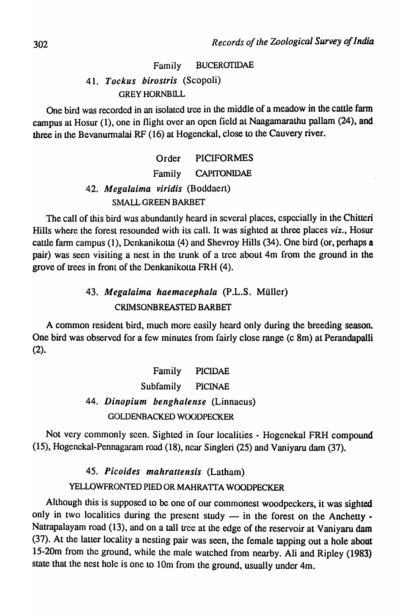#### Family BUCEROTIDAE

### *41. Tockus birostris* (Scopoli) **GREY HORNBILL**

One bird was recorded in an isolated tree in the middle of a meadow in the cattle farm campus at Hosur (1), one in flight over an open field at Naagamarathu pallam (24), and three in the Bevanurmalai RF (16) at Hogenekal, close to the Cauvery river.

> Order PICIFORMES Family CAPITONIDAE *42. Mega/aima viridis* (Boddaert) SMALL GREEN BARBET

The call of this bird was abundantly heard in several places, especially in the Chitteri Hills where the forest resounded with its call. It was sighted at three places *viz.,* Hosur cattle fann campus (1), Denkanikotta (4) and Shevroy Hills (34). One bird (or, perhaps a pair) was seen visiting a nest in the trunk of a tree about 4m from the ground in the grove of trees in front of the Denkanikotta FRH (4).

# *43. Mega/aima haemaceplla/a* (P.L.S. Muller) CRIMSONBREASTED BARBET

A common resident bird, much more casily heard only during the breeding season. One bird was observed for a few minutes from fairly close range (c 8m) at Perandapalli (2).

> Family PICIDAE Subfamily PICINAE *44. Dinopium benghalense* (Linnaeus) GOLDENBACKED WOODPECKER

Not very commonly seen. Sighted in four localities - Hogcnekal FRH compound (15), Hogenekal-Pennagaram road (18), ncar Singleri (25) and Vaniyaru dam (37).

## 45. Picoides mahrattensis (Latham) YELLOWFRONTED PIED OR MAHRATIA WOODPECKER

Although this is supposed to be one of our commonest woodpeckers, it was sighted only in two localities during the present study  $-$  in the forest on the Anchetty  $\cdot$ Natrapalayam road (13), and on a tall tree at the edge of the reservoir at Vaniyaru dam (37). At the latter locality a nesting pair was seen, the female tapping out a hole about 15-20m from the ground, while the male watched from nearby. Ali and Ripley (1983) state that the nest hole is one to 10m from the ground, usually under 4m.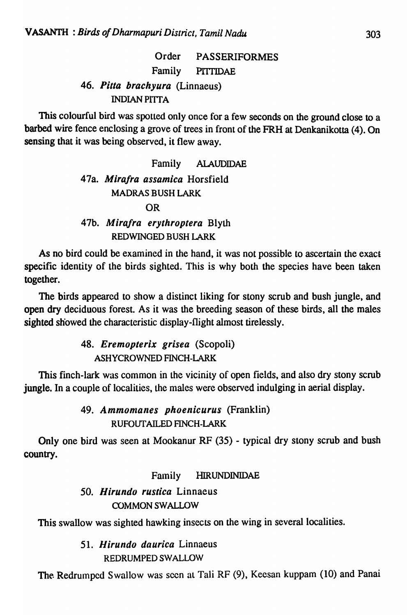Order PASSERIFORMES Family PITTIDAE 46. *Pilla braehyura* (Linnaeus) **INDIAN PITTA** 

This colourful bird was spotted only once for a few seconds on the ground close to a barbed wire fence enclosing a grove of trees in front of the FRH at Denkanikotta (4). On sensing that it was being observed, it flew away.

# Family AlAUDIDAE 47a. *Mira/ra assamiea* Horsfield MADRAS BUSH LARK OR 47b. *Mira/ra erythroptera* Blyth REDWINGED BUSH LARK

As no bird could be examined in the hand, it was not possible to ascertain the exact specific identity of the birds sighted. This is why both the species have been taken together.

The birds appeared to show a distinct liking for stony scrub and bush jungle, and open dry deciduous forest. As it was the breeding season of these birds, all the males sighted showed the characteristic display-flight almost tirelessly.

> *48. Eremopterix grisea* (Scopoli) ASHYCROWNED FINCH-LARK

This finch-lark was common in the vicinity of open fields, and also dry stony scrub jungle. In a couple of localities, the males were observed indulging in aerial display.

> 49. *Ammonlanes phoenicurus* (Franklin) RUFOUT AILED FINCH-LARK

Only one bird was seen at Mookanur RF (35) - typical dry stony scrub and bush country.

## Family HIRUNDINIDAE

# *50. Hirundo rustiea* Linnaeus OOMMON *SWALWW*

This swallow was sighted hawking insects on the wing in several localities.

*51. Hirundo daurica* Linnaeus REDRUMPED SWALLOW

The Redrumped Swallow was seen at Tali RF (9), Keesan kuppam (10) and Panai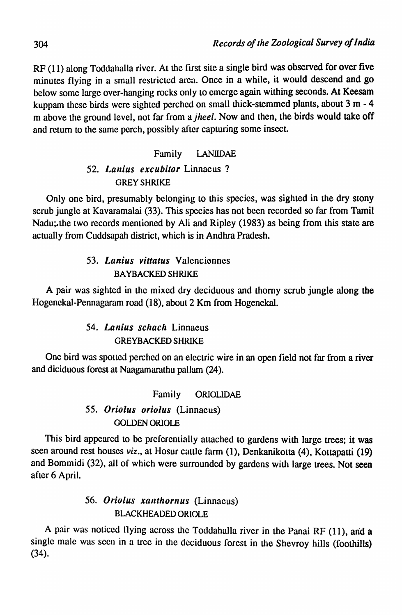RF (11) along Toddahalla river. At the first site a single bird was observed for over five minutes flying in a small restricted area. Once in a while, it would descend and go below some large over-hanging rocks only to emerge again withing seconds. At Keesam kuppam these birds were sighted perched on small thick-stemmed plants, about 3 m - 4 m above the ground level, not far from *ajheel.* Now and then, the birds would take off and return to the same perch, possibly after capturing some insect.

# Family lANlIDAE 52. Lanius excubitor Linnacus? GREY SHRIKE

Only one bird, presumably belonging to this species, was sighted in the dry stony scrub jungle at Kavaramalai (33). This species has not bcen recorded so far from Tamil Nadu; the two records mentioned by Ali and Ripley (1983) as being from this state are actually from Cuddsapah district, which is in Andhra Pradesh.

### *53. Lanius villalus* Valenciennes BA YBACKED SHRIKE

A pair was sighted in the mixed dry deciduous and thorny scrub jungle along the Hogenekal-Pcnnagaram road (18), about 2 Km from Hogenckal.

## 54. *Lanius schach* Linnaeus **GREYBACKED SHRIKE**

One bird was spottcd pcrched on an electric wire in an open field not far from a river and diciduous forest at Naagamardthu pullam (24).

## Family ORIOLIDAE

## 55. Oriolus oriolus (Linnaeus) GOLDEN ORIOLE

This bird appeared to be prefercntially attached to gardens with large trees; it was seen around rest houses *viz.,* at Hosur cattle farm (1), Denkanikotta (4), Kottapaui (19) and Bommidi (32), all of which were surrounded by gardens with large trees. Not seen after 6 April.

## 56. Oriolus xanthornus (Linnaeus) BLACKHEADED ORIOLE

A pair was noticed llying across the Toddahalla river in the Panai RF (11), and a single male was seen in a tree in the deciduous forest in the Shcvroy hills (foothills) (34).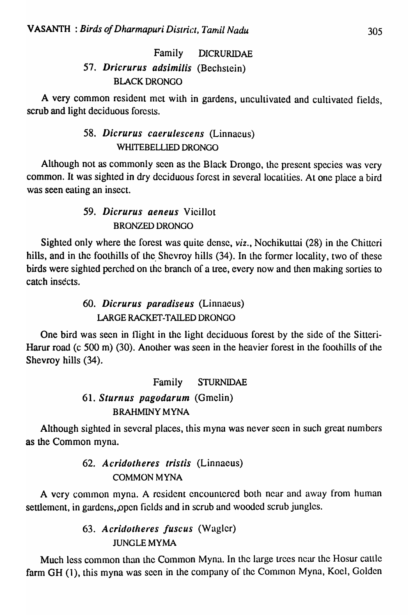# Family DICRURlDAE *57. Dricrurus adsimilis* (Bechslein) BLACK DRONGO

A very common resident met with in gardens, uncultivated and cultivated fields, scrub and light deciduous forests.

### 58. *Dicrurus caerulescens* (Linnaeus) WHlTEBELLIED DRONGO

Although not as commonly seen as the Black Drongo, the present species was very common. It was sighted in dry deciduous forest in several locatities. At one place a bird was seen eating an insect.

## *59. Dicrurus aeneus* Vicillot BRONZED DRONGO

Sighted only where the forest was quite dense, *viz.,* Nochikuttai (28) in the Chittcri hills, and in the foothills of the Shevroy hills (34). In the former locality, two of these birds were sighted perched on the branch of a tree, every now and then making sorties to catch insects.

> 60. *Dicrurus paradiseus* (Linnaeus) lARGE RACKET-TAILED DRONGO

One bird was seen in flight in the light deciduous forest by the side of the Sitteri-Harur road (c 500 m) (30). Another was seen in the heavier forest in the foothills of the Shevroy hills (34).

# Family STURNIDAE *61. Sturnus pagodarum* (Gmelin) BRAHMINY MYNA

Although sighted in several places, this myna was never seen in such great numbers as the Common myna.

# *62. Acridotheres Iris/is* (Linnaeus) COMMON MYNA

A very common myna. A resident encountered both near and away from human settlement, in gardens, open fields and in scrub and wooded scrub jungles.

# 63. Acridotheres fuscus *(Wagler)* JUNGLEMYMA

Much less common than the Common Myna. In the large trees near the Hosur cattle farm GH (1), this myna was seen in the company of the Common Myna, Koel, Golden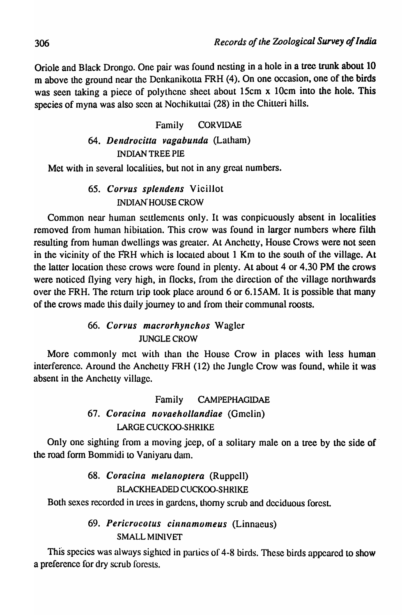Oriole and Black Drongo. One pair was found nesting in a hole in a tree trunk about 10 m above the ground near the Dcnkanikotta FRH (4). On one occasion, one of the birds was seen taking a piece of polythene sheet about 15cm x 10cm into the hole. This species of myna was also seen at Nochikuttai (28) in the Chitleri hills.

#### Family CORVIDAE

### 64. *Dendrocitta vagabunda* (Latham) INDIAN TREE PIE

Met with in several localities, but not in any great numbers.

### 65. *Corvus splendens* Vicillot INDIAN' HOUSE CROW

Common near human settlements only. It was conpicuously absent in localities removed from human hibitation. This crow was found in larger numbers where filth resulting from human dwellings was greater. At Anchetty, House Crows were not seen in the vicinity of the FRH which is located about 1 Km to the south of the village. At the latter location these crows were found in plenty. At about 4 or 4.30 PM the crows were noticed flying very high, in flocks, from the direction of the village northwards over the FRH. The return trip took place around 6 or 6.15AM. It is possible that many of the crows made this daily journey to and from their communal roosts.

#### 66. *('orvus macrorhynchos* Wagler JUNGLE CROW

More commonly met with than the House Crow in places with less human interference. Around the Anchctty FRH (12) the Jungle Crow was found, while it was absent in the Anchetty village.

# Family CAMPEPHAGIDAE 67. *Coracina novaehollandiae* (Omclin) lARGE CUCKOO-SHRIKE

Only one sighting from a moving jeep, of a solitary male on a tree by the side of the road form Bommidi to Vaniyaru dam.

### 68. *Coracina melanoptera* (Ruppell) BLACKHEADED CUCKOO-SHRIKE

Both sexes recorded in trees in gardens, thorny scrub and deciduous forest.

## 69. Pericrocotus cinnamomeus (Linnaeus) SMALL MINIVET

This species was always sighted in parties of 4-8 birds. These birds appeared to show a preference for dry scrub forests.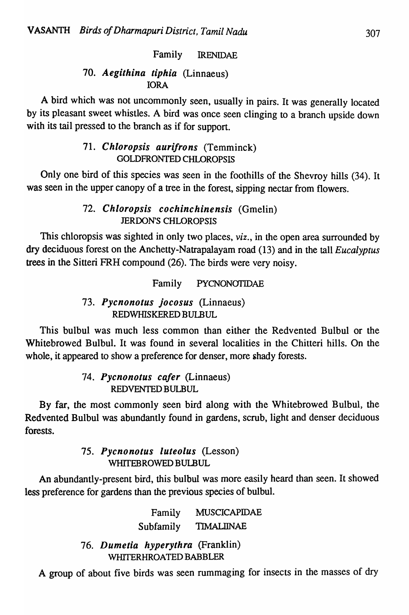### Family lRENIDAE

### *70. Aegithina tiphia* (Linnaeus) lORA

A bird which was not uncommonly seen, usually in pairs. It was generally located by its pleasant sweet whistles. A bird was once seen clinging to a branch upside down with its tail pressed to the branch as if for support.

### *71. Chloropsis aurifrons* (Temminck) GOLDFRONTED CHLOROPSIS

Only one bird of this species was seen in the foothills of the Shevroy hills (34). It was seen in the upper canopy of a tree in the forest, sipping nectar from flowers.

### *72. Chloropsis cochinchinensis* (Gmelin) JERDONS CHLOROPSIS

This chloropsis was sighted in only two places, *viz.,* in the open area surrounded by dry deciduous forest on the Anchetty-Natrapalayam road (13) and in the tall *Eucalyptus*  trees in the Sitteri FRH compound (26). The birds were very noisy.

Family PYCNONOTIDAE

### *73. Pycnonotus jocosus* (Linnaeus) REDWHISKERED BULBUL

This bulbul was much less common than either the Redvented Bulbul or the Whitebrowed Bulbul. It was found in several localities in the Chitteri hills. On the whole, it appeared to show a preference for denser, more shady forests.

#### *74. Pycnonotus cafer* (Linnaeus) REDVENTED BULBUL

By far, the most commonly seen bird along with the Whitebrowed Bulbul, the Redvented Bulbul was abundantly found in gardens, scrub, light and denser deciduous forests.

### *75. Pycnonotus luteolus* (Lesson) WffiTEBROWED BULBUL

An abundantly-present bird, this bulbul was more easily heard than seen. It showed less preference for gardens than the previous species of bulbul.

> Family MUSCICAPIDAE Subfamily TIMALIINAE

*76. Dumetia hyperythra* (Franklin) WHITERHROATED BABBLER

A group of about five birds was seen rummaging for insects in the masses of dry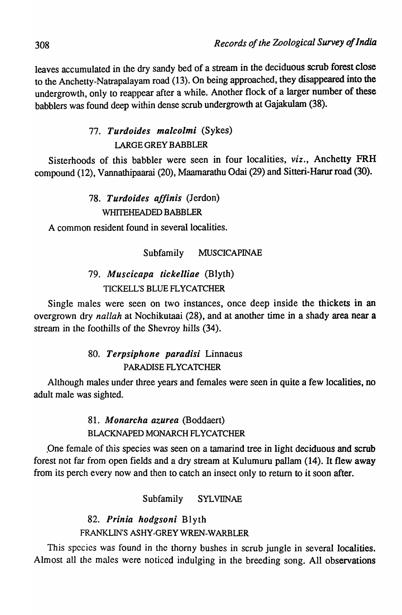leaves accumulated in the dry sandy bed of a stream in the deciduous scrub forest close to the Anchetty-Natrapalayam road (13). On being approached, they disappeared into the undergrowth, only to reappear after a while. Another flock of a larger number of these babblers was found deep within dense scrub undergrowth at Gajakulam (38).

# *77. Turdoides malcolmi* (Sykes) LARGE GREY BABBLER

Sisterhoods of this babbler were seen in four localities, *viz.,* Anchetty FRH compound (12), Vannathipaarai (20), Maamarathu Odai (29) and Sitteri-Harur road (30).

## *78. Turdoides affinis* (Jerdon) WHITEHEADED BABBLER

A common resident found in several localities.

## Subfamily MUSCICAPINAE

# *79. Muscicapa tickelliae* (Blyth) TICKELL'S BLUE FLYCATCHER

Single males were seen on two instances, once deep inside the thickets in an overgrown dry *nallah* at Nochikutaai (28), and at another time in a shady area near a stream in the foothills of the Shevroy hills (34).

# *80. Terpsiphone paradisi* Linnaeus PARADISE FLYCATCHER

Although males under three years and females were seen in quite a few localities, no adult male was sighted.

## *81. Monarcha azurea* (Boddaert) BLACKNAPED MONARCH FLYCATCHER

.One female of this species was seen on a tamarind tree in light deciduous and scrub forest not far from open fields and a dry stream at Kulumuru pallam (14). It flew away from its perch every now and then to catch an insect only to return to it soon after.

Subfamily SYLVIINAE

*82. Prinia hodgsoni* Blyth FRANKLINS ASHY-GREY WREN-WARBLER

This species was found in the thorny bushes in scrub jungle in several localities. Almost all the males were noticed indulging in the breeding song. All observations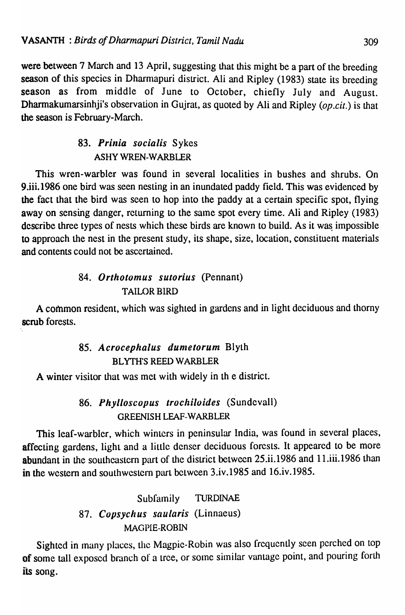were between 7 March and 13 April, suggesting that this might be a part of the breeding season of this species in Dharmapuri district. Ali and Ripley (1983) state its breeding season as from middle of June to October, chiefly July and August. Dharmakumarsinhji's observation in Gujrat, as quoted by Ali and Ripley *(op.cit.)* is that the season is Fcbruary-March.

### 83. Prinia socialis Sykes ASHY WREN-WARBLER

This wren-warbler was found in several localities in bushes and shrubs. On 9.iii.1986 one bird was seen nesting in an inundated paddy field. This was evidenced by the fact that the bird was seen to hop into the paddy at a certain specific spot, flying away on sensing danger, returning to the same spot every time. Ali and Ripley (1983) describe three types of nests which these birds are known to build. As it was impossible to approach the nest in the present study, its shape, size, location, constituent materials and contents could not be ascertained.

## *84. Orthotomus sutorius* (Pennant) **TAILOR BIRD**

A common resident, which was sighted in gardens and in light deciduous and thorny scrub forests.

# 85. Acrocephalus dumetorum Blyth BLYTH'S REED WARBLER

A winter visitor that was met with widely in th e district.

## 86. *Phylloscopus trochiloides* (Sundevall) GREENISH LEAF-WARBLER

This leaf-warbler, which winters in peninsular India, was found in several places, affecting gardens, light and a little denser deciduous forests. It appeared to be more abundant in the southeastern part of the district between 25.ii.1986 and 11.iii.1986 than in the western and southwestern part between 3.iv.1985 and 16.iv.1985.

# Subfamily TURDINAE 87. Copsychus saularis (Linnaeus) MAGPIE-ROBIN

Sighted in many places, the Magpie-Robin was also frequently seen perched on top of some tall exposed branch of a tree, or some similar vantage point, and pouring forth iis song.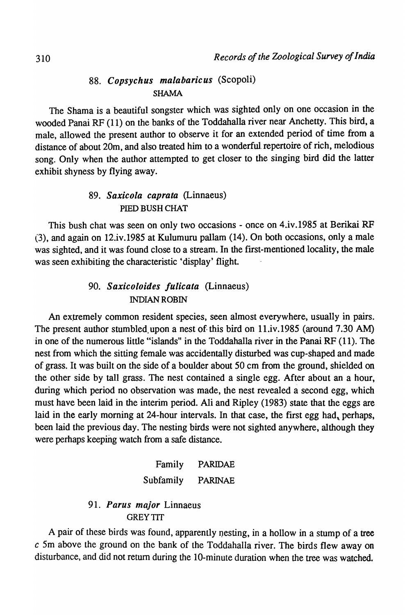### *88. Copsychus malabaricus* (Scopoli) SHAMA

The Shama is a beautiful songster which was sighted only on one occasion in the wooded Panai RF (11) on the banks of the Toddahalla river near Anchetty. This bird, a male, allowed the present author to observe it for an extended period of time from a distance of about 20m, and also treated him to a wonderful repertoire of rich, melodious song. Only when the author attempted to get closer to the singing bird did the latter exhibit shyness by flying away.

#### *89. Saxicola caprata* (Linnaeus) PIED BUSH CHAT

This bush chat was seen on only two occasions - once on 4.iv.I985 at Berikai RF (3), and again on 12.iv.I985 at Kulumuru pallam (14). On both occasions, only a male was sighted, and it was found close to a stream. In the first-mentioned locality, the male was seen exhibiting the characteristic 'display' flight.

### *90. Saxicoloides fulicata* (Linnaeus) INDIAN ROBIN

An extremely common resident species, seen almost everywhere, usually in pairs. The present author stumbled,upon a nest of this bird on II.iv.I985 (around 7.30 AM) in one of the numerous little "islands" in the Toddahalla river in the Panai RF (11). The nest from which the sitting female was accidentally disturbed was cup-shaped and made of grass. It was built on the side of a boulder about 50 cm from the ground, shielded on the other side by tall grass. The nest contained a single egg. After about an a hour, during which period no observation was made, the nest revealed a second egg, which must have been laid in the interim period. Ali and Ripley (1983) state that the eggs are laid in the early morning at 24-hour intervals. In that case, the first egg had, perhaps, been laid the previous day. The nesting birds were not sighted anywhere, although they were perhaps keeping watch from a safe distance.

# Family PARIDAE Subfamily PARINAE

#### *91. Parus major* Linnaeus GREY TIT

A pair of these birds was found, apparently nesting, in a hollow in a stump of a tree c Sm above the ground on the bank of the Toddahalla river. The birds flew away on disturbance, and did not return during the IO-minute duration when the tree was watched.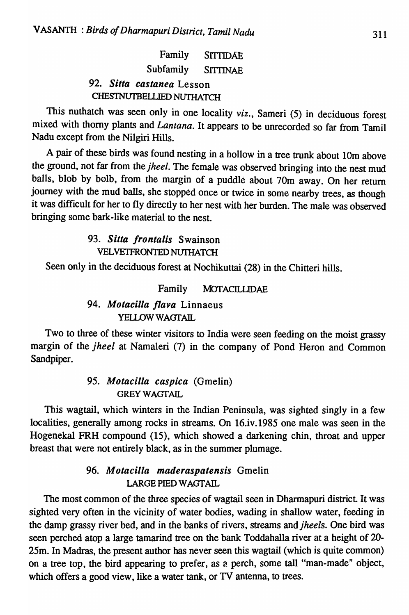|                          |                           |                    | Family SITTIDAE |  |  |
|--------------------------|---------------------------|--------------------|-----------------|--|--|
|                          |                           | Subfamily SITTINAE |                 |  |  |
|                          | 92. Sitta castanea Lesson |                    |                 |  |  |
| CHESTNUTBELLIED NUTHATCH |                           |                    |                 |  |  |

This nuthatch was seen only in one locality *viz.,* Sameri (5) in deciduous forest mixed with thorny plants and *Lantana.* It appears to be unrecorded so far from Tamil Nadu except from the Nilgiri Hills.

A pair of these birds was found nesting in a hollow in a tree trunk about 10m above the ground, not far from the *jheel.* The female was observed bringing into the nest mud balls, blob by bolb, from the margin of a puddle about 70m away. On her return journey with the mud balls, she stopped once or twice in some nearby trees, as though it was difficult for her to fly directly to her nest with her burden. The male was observed bringing some bark-like material to the nest.

### *93. Sitta frontalis* Swainson VELVETFRONTED NUTHATCH

Seen only in the deciduous forest at Nochikuttai (28) in the Chitteri hills.

#### Family MOfACILLIDAE

### *94. Motacilla flava* Linnaeus YELLOW WAGTAIL

Two to three of these winter visitors to India were seen feeding on the moist grassy margin of the *jheel* at Namaleri (7) in the company of Pond Heron and Common Sandpiper.

### *95. Motacilla caspica* (Gmelin) **GREY WAGTAIL**

This wagtail, which winters in the Indian Peninsula, was sighted singly in a few localities, generally among rocks in streams. On 16.iv.1985 one male was seen in the Hogenekal FRH compound (15), which showed a darkening chin, throat and upper breast that were not entirely black, as in the summer plumage.

### *96. Motacilla maderaspatensis* Gmelin LARGE PlED WAGTAIL

The most common of the three species of wagtail seen in Dharmapuri district. It was sighted very often in the vicinity of water bodies, wading in shallow water, feeding in the damp grassy river bed, and in the banks of rivers, streams *andjheels.* One bird was seen perched atop a large tamarind tree on the bank Toddahalla river at a height of 20- 25m. In Madras, the present author has never seen this wagtail (which is quite common) on a tree top, the bird appearing to prefer, as 2 perch, some taIl "man-made" object, which offers a good view, like a water tank, or TV antenna, to trees.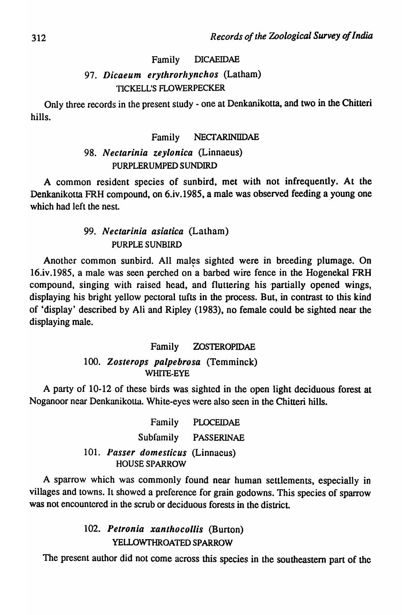#### Family DICAEIDAE

### *97. Dicaeum erythrorllynchos* (Latham) TICKELL'S FLOWERPECKER

Only three records in the present study - one at Denkanikotta, and two in the Chitteri hills.

#### Family NECTARINIDAE

#### *98. Nectarinia zeylonica* (Linnaeus) PURPLERUMPED SUNDIRD

A common resident species of sunbitd, met with not infrequently. At the Denkanikotta FRH compound, on 6.iv.1985, a male was observed feeding a young one which had left the nest.

#### *99. Nectarinia asiatica* (Latham) PURPLE SUNBIRD

Another common sunbird. All males sighted were in breeding plumage. On \ 16.iv.1985, a male was seen perched on a barbed wire fence in the Hogenekal FRH compound, singing with raised head, and fluttering his 'partially opened wings, displaying his bright yellow pectoral tufts in the process. But, in contrast to this kind of 'display' described by Ali and Ripley (1983), no female could be sighted near the displaying male.

#### Family ZOSTEROPIDAE

#### *100. Zosterops palpebrosa* (Temminck) WHITE-EYE

A party of 10-12 of these birds was, sighted in the open light deciduous forest at Noganoor near Denkanikotta. White-eyes were also seen in the Chitteri hills.

> Family PLOCEIDAE Subfamily PASSERINAE *101. Passer domesticus* (Linnaeus) HOUSE SPARROW

A sparrow which was commonly found near human settlements, especially in villages and towns. It showed a preference for grain godowns. This species of sparrow was not encountered in the scrub or deciduous forests in the district.

> *102. Petronia xanthocollis* (Burton) YELLOWfHROATED SPARROW

The present author did not come across this species in the southeastern part of the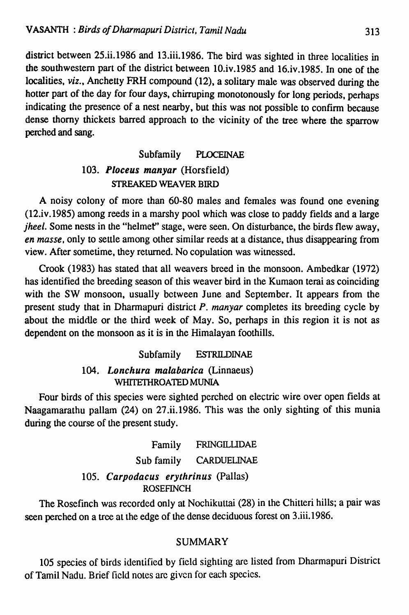district between 25.ii.1986 and 13.iii.1986. The bird was sighted in three localities in the southwestern part of the district between 10.iv.1985 and 16.iv.1985. In one of the localities, *viz.,* Anchetty FRH compound (12), a solitary male was observed during the hotter part of the day for four days, chirruping monotonously for long periods, perhaps indicating the presence of a nest nearby, but this was not possible to confirm because dense thorny thickets barred approach to the vicinity of the tree where the sparrow perched and sang.

# Subfamily PLOCEINAE 103. Ploceus manyar (Horsfield) STREAKED WEAVER BIRD

A noisy colony of more than 60-80 males and females was found one evening (12.iv.1985) among reeds in a marshy pool which was close to paddy fields and a large *jheel*. Some nests in the "helmet" stage, were seen. On disturbance, the birds flew away, *en masse,* only to settle among other similar reeds at a distance. thus disappearing from view. After sometime, they returned. No copulation was witnessed.

Crook (1983) has stated that all weavers breed in the monsoon. Ambedkar (1972) has identified the breeding season of this weaver bird in the Kumaon terai as coinciding with the SW monsoon, usually between June and September. It appears from the present study that in Dharmapuri district P. *manyar* completes its breeding cycle by about the middle or the third week of May. So, perhaps in this region it is not as dependent on the monsoon as it is in the Himalayan foothills.

#### Subfamily ESTRILDINAE

#### *104.* Lonchura malabarica (Linnaeus) WHITETHROATED MUNIA

Four birds of this species were sighted perched on electric wire over open fields at Naagamarathu pallam (24) on 27.ii.1986. This was the only sighting of this munia during the course of the present study.

> Family FRINGILUDAE Sub family CARDUELINAE 105. Carpodacus erythrinus (Pallas) ROSEFINCH

The Rosefinch was recorded only at Nochikuttai (28) in the Chitteri hills; a pair was seen perched on a tree at the edge of the dense deciduous forest on 3.iii.1986.

#### SUMMARY

105 species of birds identified by field sighting are listed from Dharmapuri District of Tamil Nadu. Brief field notes are given for each species.